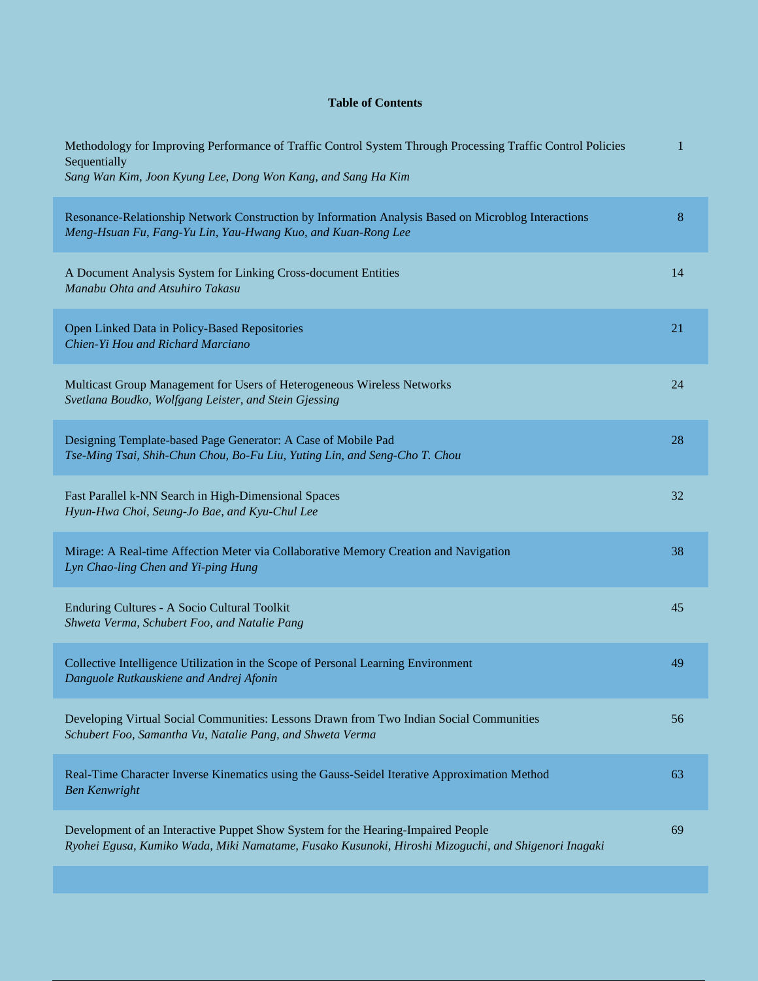## **Table of Contents**

| Methodology for Improving Performance of Traffic Control System Through Processing Traffic Control Policies<br>Sequentially<br>Sang Wan Kim, Joon Kyung Lee, Dong Won Kang, and Sang Ha Kim | 1     |
|---------------------------------------------------------------------------------------------------------------------------------------------------------------------------------------------|-------|
| Resonance-Relationship Network Construction by Information Analysis Based on Microblog Interactions<br>Meng-Hsuan Fu, Fang-Yu Lin, Yau-Hwang Kuo, and Kuan-Rong Lee                         | $8\,$ |
| A Document Analysis System for Linking Cross-document Entities<br>Manabu Ohta and Atsuhiro Takasu                                                                                           | 14    |
| Open Linked Data in Policy-Based Repositories<br>Chien-Yi Hou and Richard Marciano                                                                                                          | 21    |
| Multicast Group Management for Users of Heterogeneous Wireless Networks<br>Svetlana Boudko, Wolfgang Leister, and Stein Gjessing                                                            | 24    |
| Designing Template-based Page Generator: A Case of Mobile Pad<br>Tse-Ming Tsai, Shih-Chun Chou, Bo-Fu Liu, Yuting Lin, and Seng-Cho T. Chou                                                 | 28    |
| Fast Parallel k-NN Search in High-Dimensional Spaces<br>Hyun-Hwa Choi, Seung-Jo Bae, and Kyu-Chul Lee                                                                                       | 32    |
| Mirage: A Real-time Affection Meter via Collaborative Memory Creation and Navigation<br>Lyn Chao-ling Chen and Yi-ping Hung                                                                 | 38    |
| Enduring Cultures - A Socio Cultural Toolkit<br>Shweta Verma, Schubert Foo, and Natalie Pang                                                                                                | 45    |
| Collective Intelligence Utilization in the Scope of Personal Learning Environment<br>Danguole Rutkauskiene and Andrej Afonin                                                                | 49    |
| Developing Virtual Social Communities: Lessons Drawn from Two Indian Social Communities<br>Schubert Foo, Samantha Vu, Natalie Pang, and Shweta Verma                                        | 56    |
| Real-Time Character Inverse Kinematics using the Gauss-Seidel Iterative Approximation Method<br><b>Ben Kenwright</b>                                                                        | 63    |
| Development of an Interactive Puppet Show System for the Hearing-Impaired People<br>Ryohei Egusa, Kumiko Wada, Miki Namatame, Fusako Kusunoki, Hiroshi Mizoguchi, and Shigenori Inagaki     | 69    |